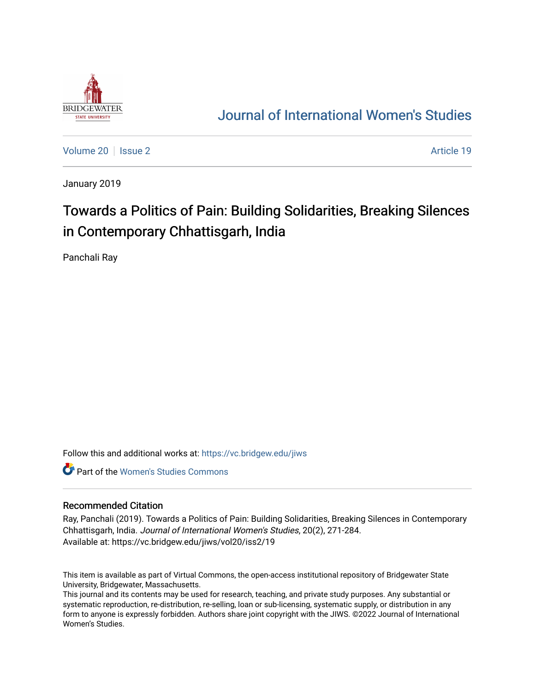

# [Journal of International Women's Studies](https://vc.bridgew.edu/jiws)

[Volume 20](https://vc.bridgew.edu/jiws/vol20) | [Issue 2](https://vc.bridgew.edu/jiws/vol20/iss2) Article 19

January 2019

# Towards a Politics of Pain: Building Solidarities, Breaking Silences in Contemporary Chhattisgarh, India

Panchali Ray

Follow this and additional works at: [https://vc.bridgew.edu/jiws](https://vc.bridgew.edu/jiws?utm_source=vc.bridgew.edu%2Fjiws%2Fvol20%2Fiss2%2F19&utm_medium=PDF&utm_campaign=PDFCoverPages)

**C** Part of the Women's Studies Commons

#### Recommended Citation

Ray, Panchali (2019). Towards a Politics of Pain: Building Solidarities, Breaking Silences in Contemporary Chhattisgarh, India. Journal of International Women's Studies, 20(2), 271-284. Available at: https://vc.bridgew.edu/jiws/vol20/iss2/19

This item is available as part of Virtual Commons, the open-access institutional repository of Bridgewater State University, Bridgewater, Massachusetts.

This journal and its contents may be used for research, teaching, and private study purposes. Any substantial or systematic reproduction, re-distribution, re-selling, loan or sub-licensing, systematic supply, or distribution in any form to anyone is expressly forbidden. Authors share joint copyright with the JIWS. ©2022 Journal of International Women's Studies.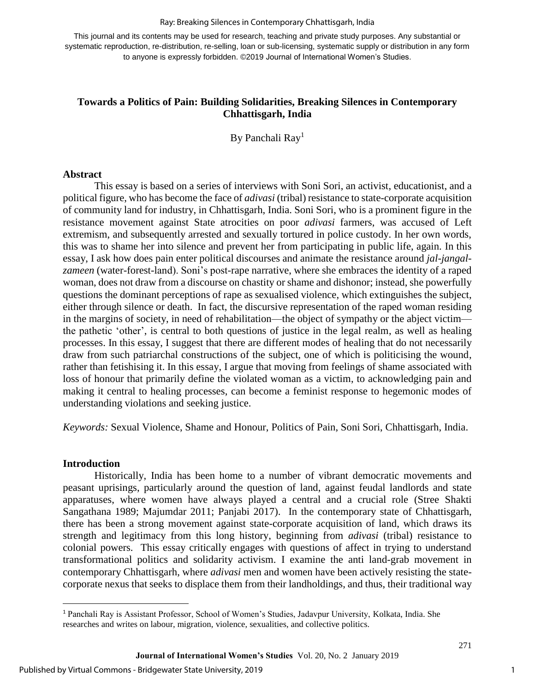#### Ray: Breaking Silences in Contemporary Chhattisgarh, India

This journal and its contents may be used for research, teaching and private study purposes. Any substantial or systematic reproduction, re-distribution, re-selling, loan or sub-licensing, systematic supply or distribution in any form to anyone is expressly forbidden. ©2019 Journal of International Women's Studies.

# **Towards a Politics of Pain: Building Solidarities, Breaking Silences in Contemporary Chhattisgarh, India**

By Panchali Ray<sup>1</sup>

#### **Abstract**

This essay is based on a series of interviews with Soni Sori, an activist, educationist, and a political figure, who has become the face of *adivasi* (tribal) resistance to state-corporate acquisition of community land for industry, in Chhattisgarh, India. Soni Sori, who is a prominent figure in the resistance movement against State atrocities on poor *adivasi* farmers, was accused of Left extremism, and subsequently arrested and sexually tortured in police custody. In her own words, this was to shame her into silence and prevent her from participating in public life, again. In this essay, I ask how does pain enter political discourses and animate the resistance around *jal-jangal*zameen (water-forest-land). Soni's post-rape narrative, where she embraces the identity of a raped woman, does not draw from a discourse on chastity or shame and dishonor; instead, she powerfully questions the dominant perceptions of rape as sexualised violence, which extinguishes the subject, either through silence or death. In fact, the discursive representation of the raped woman residing in the margins of society, in need of rehabilitation—the object of sympathy or the abject victim the pathetic 'other', is central to both questions of justice in the legal realm, as well as healing processes. In this essay, I suggest that there are different modes of healing that do not necessarily draw from such patriarchal constructions of the subject, one of which is politicising the wound, rather than fetishising it. In this essay, I argue that moving from feelings of shame associated with loss of honour that primarily define the violated woman as a victim, to acknowledging pain and making it central to healing processes, can become a feminist response to hegemonic modes of understanding violations and seeking justice.

*Keywords:* Sexual Violence, Shame and Honour, Politics of Pain, Soni Sori, Chhattisgarh, India.

## **Introduction**

l

Historically, India has been home to a number of vibrant democratic movements and peasant uprisings, particularly around the question of land, against feudal landlords and state apparatuses, where women have always played a central and a crucial role (Stree Shakti Sangathana 1989; Majumdar 2011; Panjabi 2017). In the contemporary state of Chhattisgarh, there has been a strong movement against state-corporate acquisition of land, which draws its strength and legitimacy from this long history, beginning from *adivasi* (tribal) resistance to colonial powers. This essay critically engages with questions of affect in trying to understand transformational politics and solidarity activism. I examine the anti land-grab movement in contemporary Chhattisgarh, where *adivasi* men and women have been actively resisting the statecorporate nexus that seeks to displace them from their landholdings, and thus, their traditional way

1

<sup>1</sup> Panchali Ray is Assistant Professor, School of Women's Studies, Jadavpur University, Kolkata, India. She researches and writes on labour, migration, violence, sexualities, and collective politics.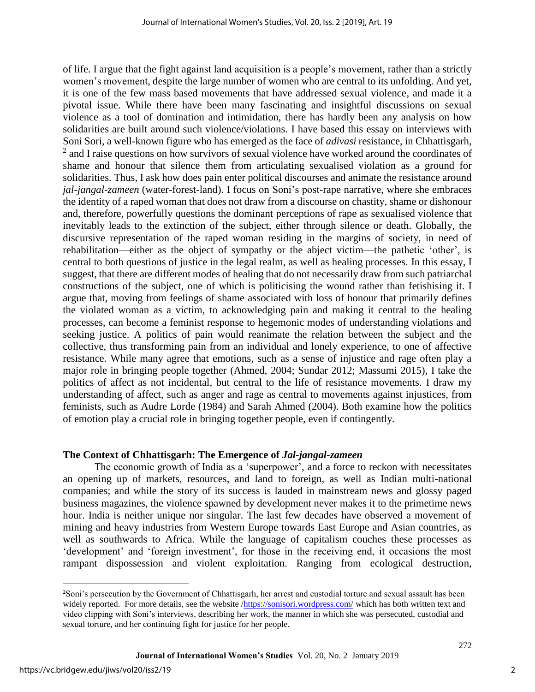of life. I argue that the fight against land acquisition is a people's movement, rather than a strictly women's movement, despite the large number of women who are central to its unfolding. And yet, it is one of the few mass based movements that have addressed sexual violence, and made it a pivotal issue. While there have been many fascinating and insightful discussions on sexual violence as a tool of domination and intimidation, there has hardly been any analysis on how solidarities are built around such violence/violations. I have based this essay on interviews with Soni Sori, a well-known figure who has emerged as the face of *adivasi* resistance, in Chhattisgarh, <sup>2</sup> and I raise questions on how survivors of sexual violence have worked around the coordinates of shame and honour that silence them from articulating sexualised violation as a ground for solidarities. Thus, I ask how does pain enter political discourses and animate the resistance around *jal-jangal-zameen* (water-forest-land). I focus on Soni's post-rape narrative, where she embraces the identity of a raped woman that does not draw from a discourse on chastity, shame or dishonour and, therefore, powerfully questions the dominant perceptions of rape as sexualised violence that inevitably leads to the extinction of the subject, either through silence or death. Globally, the discursive representation of the raped woman residing in the margins of society, in need of rehabilitation—either as the object of sympathy or the abject victim—the pathetic 'other', is central to both questions of justice in the legal realm, as well as healing processes. In this essay, I suggest, that there are different modes of healing that do not necessarily draw from such patriarchal constructions of the subject, one of which is politicising the wound rather than fetishising it. I argue that, moving from feelings of shame associated with loss of honour that primarily defines the violated woman as a victim, to acknowledging pain and making it central to the healing processes, can become a feminist response to hegemonic modes of understanding violations and seeking justice. A politics of pain would reanimate the relation between the subject and the collective, thus transforming pain from an individual and lonely experience, to one of affective resistance. While many agree that emotions, such as a sense of injustice and rage often play a major role in bringing people together (Ahmed, 2004; Sundar 2012; Massumi 2015), I take the politics of affect as not incidental, but central to the life of resistance movements. I draw my understanding of affect, such as anger and rage as central to movements against injustices, from feminists, such as Audre Lorde (1984) and Sarah Ahmed (2004). Both examine how the politics of emotion play a crucial role in bringing together people, even if contingently.

# **The Context of Chhattisgarh: The Emergence of** *Jal-jangal-zameen*

The economic growth of India as a 'superpower', and a force to reckon with necessitates an opening up of markets, resources, and land to foreign, as well as Indian multi-national companies; and while the story of its success is lauded in mainstream news and glossy paged business magazines, the violence spawned by development never makes it to the primetime news hour. India is neither unique nor singular. The last few decades have observed a movement of mining and heavy industries from Western Europe towards East Europe and Asian countries, as well as southwards to Africa. While the language of capitalism couches these processes as 'development' and 'foreign investment', for those in the receiving end, it occasions the most rampant dispossession and violent exploitation. Ranging from ecological destruction,

 $\overline{a}$ 

<sup>2</sup>Soni's persecution by the Government of Chhattisgarh, her arrest and custodial torture and sexual assault has been widely reported. For more details, see the website [/https://sonisori.wordpress.com/](https://sonisori.wordpress.com/) which has both written text and video clipping with Soni's interviews, describing her work, the manner in which she was persecuted, custodial and sexual torture, and her continuing fight for justice for her people.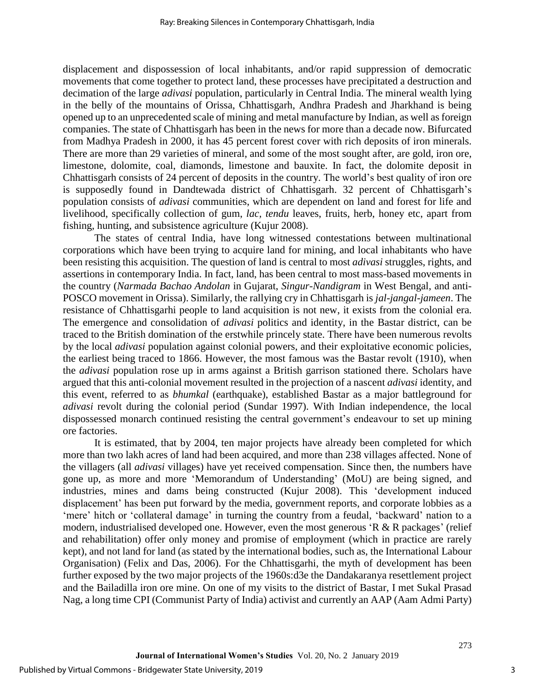displacement and dispossession of local inhabitants, and/or rapid suppression of democratic movements that come together to protect land, these processes have precipitated a destruction and decimation of the large *adivasi* population, particularly in Central India. The mineral wealth lying in the belly of the mountains of Orissa, Chhattisgarh, Andhra Pradesh and Jharkhand is being opened up to an unprecedented scale of mining and metal manufacture by Indian, as well as foreign companies. The state of Chhattisgarh has been in the news for more than a decade now. Bifurcated from Madhya Pradesh in 2000, it has 45 percent forest cover with rich deposits of iron minerals. There are more than 29 varieties of mineral, and some of the most sought after, are gold, iron ore, limestone, dolomite, coal, diamonds, limestone and bauxite. In fact, the dolomite deposit in Chhattisgarh consists of 24 percent of deposits in the country. The world's best quality of iron ore is supposedly found in Dandtewada district of Chhattisgarh. 32 percent of Chhattisgarh's population consists of *adivasi* communities, which are dependent on land and forest for life and livelihood, specifically collection of gum, *lac, tendu* leaves, fruits, herb, honey etc, apart from fishing, hunting, and subsistence agriculture (Kujur 2008).

The states of central India, have long witnessed contestations between multinational corporations which have been trying to acquire land for mining, and local inhabitants who have been resisting this acquisition. The question of land is central to most *adivasi* struggles, rights, and assertions in contemporary India. In fact, land, has been central to most mass-based movements in the country (*Narmada Bachao Andolan* in Gujarat, *Singur-Nandigram* in West Bengal, and anti-POSCO movement in Orissa). Similarly, the rallying cry in Chhattisgarh is *jal-jangal-jameen*. The resistance of Chhattisgarhi people to land acquisition is not new, it exists from the colonial era. The emergence and consolidation of *adivasi* politics and identity, in the Bastar district, can be traced to the British domination of the erstwhile princely state. There have been numerous revolts by the local *adivasi* population against colonial powers, and their exploitative economic policies, the earliest being traced to 1866. However, the most famous was the Bastar revolt (1910), when the *adivasi* population rose up in arms against a British garrison stationed there. Scholars have argued that this anti-colonial movement resulted in the projection of a nascent *adivasi* identity, and this event, referred to as *bhumkal* (earthquake), established Bastar as a major battleground for *adivasi* revolt during the colonial period (Sundar 1997). With Indian independence, the local dispossessed monarch continued resisting the central government's endeavour to set up mining ore factories.

It is estimated, that by 2004, ten major projects have already been completed for which more than two lakh acres of land had been acquired, and more than 238 villages affected. None of the villagers (all *adivasi* villages) have yet received compensation. Since then, the numbers have gone up, as more and more 'Memorandum of Understanding' (MoU) are being signed, and industries, mines and dams being constructed (Kujur 2008). This 'development induced displacement' has been put forward by the media, government reports, and corporate lobbies as a 'mere' hitch or 'collateral damage' in turning the country from a feudal, 'backward' nation to a modern, industrialised developed one. However, even the most generous 'R & R packages' (relief and rehabilitation) offer only money and promise of employment (which in practice are rarely kept), and not land for land (as stated by the international bodies, such as, the International Labour Organisation) (Felix and Das, 2006). For the Chhattisgarhi, the myth of development has been further exposed by the two major projects of the 1960s:d3e the Dandakaranya resettlement project and the Bailadilla iron ore mine. On one of my visits to the district of Bastar, I met Sukal Prasad Nag, a long time CPI (Communist Party of India) activist and currently an AAP (Aam Admi Party)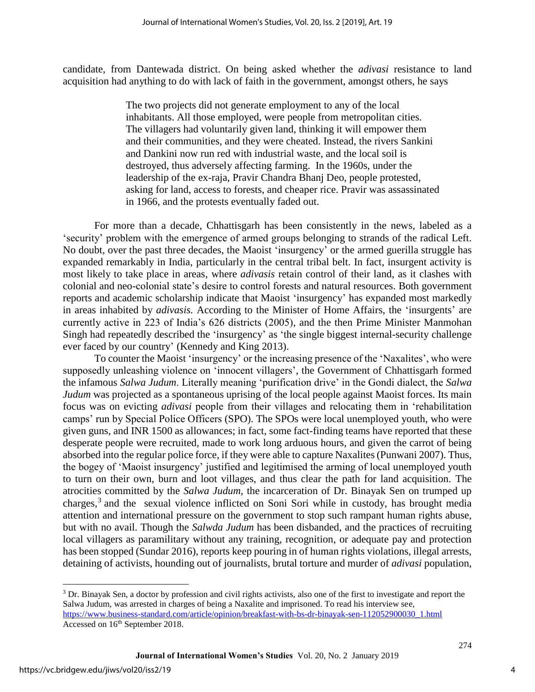candidate, from Dantewada district. On being asked whether the *adivasi* resistance to land acquisition had anything to do with lack of faith in the government, amongst others, he says

> The two projects did not generate employment to any of the local inhabitants. All those employed, were people from metropolitan cities. The villagers had voluntarily given land, thinking it will empower them and their communities, and they were cheated. Instead, the rivers Sankini and Dankini now run red with industrial waste, and the local soil is destroyed, thus adversely affecting farming. In the 1960s, under the leadership of the ex-raja, Pravir Chandra Bhanj Deo, people protested, asking for land, access to forests, and cheaper rice. Pravir was assassinated in 1966, and the protests eventually faded out.

For more than a decade, Chhattisgarh has been consistently in the news, labeled as a 'security' problem with the emergence of armed groups belonging to strands of the radical Left. No doubt, over the past three decades, the Maoist 'insurgency' or the armed guerilla struggle has expanded remarkably in India, particularly in the central tribal belt. In fact, insurgent activity is most likely to take place in areas, where *adivasis* retain control of their land, as it clashes with colonial and neo-colonial state's desire to control forests and natural resources. Both government reports and academic scholarship indicate that Maoist 'insurgency' has expanded most markedly in areas inhabited by *adivasis.* According to the Minister of Home Affairs, the 'insurgents' are currently active in 223 of India's 626 districts (2005), and the then Prime Minister Manmohan Singh had repeatedly described the 'insurgency' as 'the single biggest internal-security challenge ever faced by our country' (Kennedy and King 2013).

To counter the Maoist 'insurgency' or the increasing presence of the 'Naxalites', who were supposedly unleashing violence on 'innocent villagers', the Government of Chhattisgarh formed the infamous *Salwa Judum*. Literally meaning 'purification drive' in the Gondi dialect, the *Salwa Judum* was projected as a spontaneous uprising of the local people against Maoist forces. Its main focus was on evicting *adivasi* people from their villages and relocating them in 'rehabilitation camps' run by Special Police Officers (SPO). The SPOs were local unemployed youth, who were given guns, and INR 1500 as allowances; in fact, some fact-finding teams have reported that these desperate people were recruited, made to work long arduous hours, and given the carrot of being absorbed into the regular police force, if they were able to capture Naxalites(Punwani 2007). Thus, the bogey of 'Maoist insurgency' justified and legitimised the arming of local unemployed youth to turn on their own, burn and loot villages, and thus clear the path for land acquisition. The atrocities committed by the *Salwa Judum*, the incarceration of Dr. Binayak Sen on trumped up charges,<sup>3</sup> and the sexual violence inflicted on Soni Sori while in custody, has brought media attention and international pressure on the government to stop such rampant human rights abuse, but with no avail. Though the *Salwda Judum* has been disbanded, and the practices of recruiting local villagers as paramilitary without any training, recognition, or adequate pay and protection has been stopped (Sundar 2016), reports keep pouring in of human rights violations, illegal arrests, detaining of activists, hounding out of journalists, brutal torture and murder of *adivasi* population,

 $\overline{a}$ 

<sup>&</sup>lt;sup>3</sup> Dr. Binayak Sen, a doctor by profession and civil rights activists, also one of the first to investigate and report the Salwa Judum, was arrested in charges of being a Naxalite and imprisoned. To read his interview see, [https://www.business-standard.com/article/opinion/breakfast-with-bs-dr-binayak-sen-112052900030\\_1.html](https://www.business-standard.com/article/opinion/breakfast-with-bs-dr-binayak-sen-112052900030_1.html) Accessed on 16<sup>th</sup> September 2018.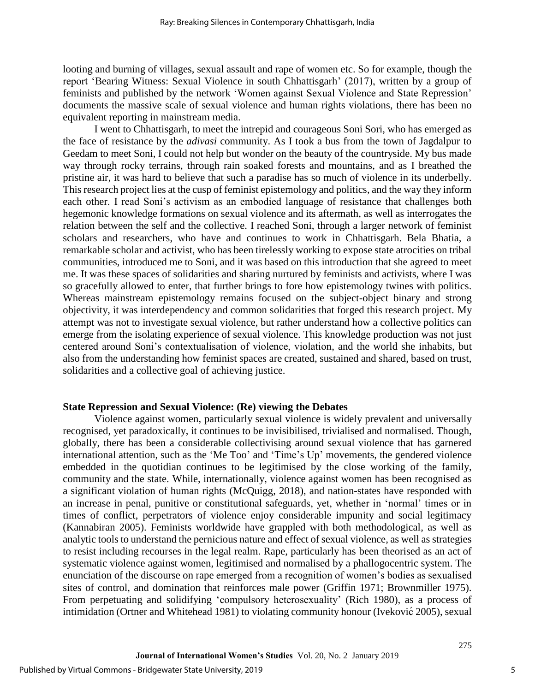looting and burning of villages, sexual assault and rape of women etc. So for example, though the report 'Bearing Witness: Sexual Violence in south Chhattisgarh' (2017), written by a group of feminists and published by the network 'Women against Sexual Violence and State Repression' documents the massive scale of sexual violence and human rights violations, there has been no equivalent reporting in mainstream media.

I went to Chhattisgarh, to meet the intrepid and courageous Soni Sori, who has emerged as the face of resistance by the *adivasi* community. As I took a bus from the town of Jagdalpur to Geedam to meet Soni, I could not help but wonder on the beauty of the countryside. My bus made way through rocky terrains, through rain soaked forests and mountains, and as I breathed the pristine air, it was hard to believe that such a paradise has so much of violence in its underbelly. This research project lies at the cusp of feminist epistemology and politics, and the way they inform each other. I read Soni's activism as an embodied language of resistance that challenges both hegemonic knowledge formations on sexual violence and its aftermath, as well as interrogates the relation between the self and the collective. I reached Soni, through a larger network of feminist scholars and researchers, who have and continues to work in Chhattisgarh. Bela Bhatia, a remarkable scholar and activist, who has been tirelessly working to expose state atrocities on tribal communities, introduced me to Soni, and it was based on this introduction that she agreed to meet me. It was these spaces of solidarities and sharing nurtured by feminists and activists, where I was so gracefully allowed to enter, that further brings to fore how epistemology twines with politics. Whereas mainstream epistemology remains focused on the subject-object binary and strong objectivity, it was interdependency and common solidarities that forged this research project. My attempt was not to investigate sexual violence, but rather understand how a collective politics can emerge from the isolating experience of sexual violence. This knowledge production was not just centered around Soni's contextualisation of violence, violation, and the world she inhabits, but also from the understanding how feminist spaces are created, sustained and shared, based on trust, solidarities and a collective goal of achieving justice.

### **State Repression and Sexual Violence: (Re) viewing the Debates**

Violence against women, particularly sexual violence is widely prevalent and universally recognised, yet paradoxically, it continues to be invisibilised, trivialised and normalised. Though, globally, there has been a considerable collectivising around sexual violence that has garnered international attention, such as the 'Me Too' and 'Time's Up' movements, the gendered violence embedded in the quotidian continues to be legitimised by the close working of the family, community and the state. While, internationally, violence against women has been recognised as a significant violation of human rights (McQuigg, 2018), and nation-states have responded with an increase in penal, punitive or constitutional safeguards, yet, whether in 'normal' times or in times of conflict, perpetrators of violence enjoy considerable impunity and social legitimacy (Kannabiran 2005). Feminists worldwide have grappled with both methodological, as well as analytic tools to understand the pernicious nature and effect of sexual violence, as well as strategies to resist including recourses in the legal realm. Rape, particularly has been theorised as an act of systematic violence against women, legitimised and normalised by a phallogocentric system. The enunciation of the discourse on rape emerged from a recognition of women's bodies as sexualised sites of control, and domination that reinforces male power (Griffin 1971; Brownmiller 1975). From perpetuating and solidifying 'compulsory heterosexuality' (Rich 1980), as a process of intimidation (Ortner and Whitehead 1981) to violating community honour (Iveković 2005), sexual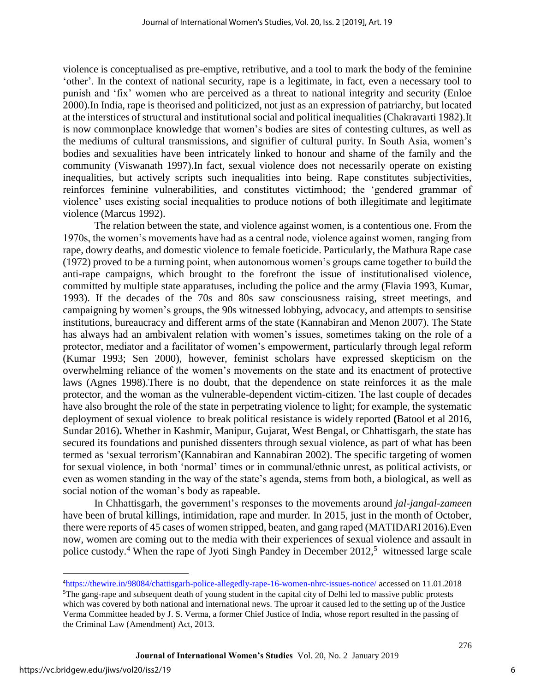violence is conceptualised as pre-emptive, retributive, and a tool to mark the body of the feminine 'other'. In the context of national security, rape is a legitimate, in fact, even a necessary tool to punish and 'fix' women who are perceived as a threat to national integrity and security (Enloe 2000).In India, rape is theorised and politicized, not just as an expression of patriarchy, but located at the interstices of structural and institutional social and political inequalities (Chakravarti 1982).It is now commonplace knowledge that women's bodies are sites of contesting cultures, as well as the mediums of cultural transmissions, and signifier of cultural purity. In South Asia, women's bodies and sexualities have been intricately linked to honour and shame of the family and the community (Viswanath 1997).In fact, sexual violence does not necessarily operate on existing inequalities, but actively scripts such inequalities into being. Rape constitutes subjectivities, reinforces feminine vulnerabilities, and constitutes victimhood; the 'gendered grammar of violence' uses existing social inequalities to produce notions of both illegitimate and legitimate violence (Marcus 1992).

The relation between the state, and violence against women, is a contentious one. From the 1970s, the women's movements have had as a central node, violence against women, ranging from rape, dowry deaths, and domestic violence to female foeticide. Particularly, the Mathura Rape case (1972) proved to be a turning point, when autonomous women's groups came together to build the anti-rape campaigns, which brought to the forefront the issue of institutionalised violence, committed by multiple state apparatuses, including the police and the army (Flavia 1993, Kumar, 1993). If the decades of the 70s and 80s saw consciousness raising, street meetings, and campaigning by women's groups, the 90s witnessed lobbying, advocacy, and attempts to sensitise institutions, bureaucracy and different arms of the state (Kannabiran and Menon 2007). The State has always had an ambivalent relation with women's issues, sometimes taking on the role of a protector, mediator and a facilitator of women's empowerment, particularly through legal reform (Kumar 1993; Sen 2000), however, feminist scholars have expressed skepticism on the overwhelming reliance of the women's movements on the state and its enactment of protective laws (Agnes 1998).There is no doubt, that the dependence on state reinforces it as the male protector, and the woman as the vulnerable-dependent victim-citizen. The last couple of decades have also brought the role of the state in perpetrating violence to light; for example, the systematic deployment of sexual violence to break political resistance is widely reported **(**Batool et al 2016, Sundar 2016)**.** Whether in Kashmir, Manipur, Gujarat, West Bengal, or Chhattisgarh, the state has secured its foundations and punished dissenters through sexual violence, as part of what has been termed as 'sexual terrorism'(Kannabiran and Kannabiran 2002). The specific targeting of women for sexual violence, in both 'normal' times or in communal/ethnic unrest, as political activists, or even as women standing in the way of the state's agenda, stems from both, a biological, as well as social notion of the woman's body as rapeable.

In Chhattisgarh, the government's responses to the movements around *jal-jangal-zameen* have been of brutal killings, intimidation, rape and murder*.* In 2015, just in the month of October, there were reports of 45 cases of women stripped, beaten, and gang raped (MATIDARI 2016).Even now, women are coming out to the media with their experiences of sexual violence and assault in police custody.<sup>4</sup> When the rape of Jyoti Singh Pandey in December 2012,<sup>5</sup> witnessed large scale

l

<sup>4</sup><https://thewire.in/98084/chattisgarh-police-allegedly-rape-16-women-nhrc-issues-notice/> accessed on 11.01.2018

<sup>5</sup>The gang-rape and subsequent death of young student in the capital city of Delhi led to massive public protests which was covered by both national and international news. The uproar it caused led to the setting up of the Justice Verma Committee headed by J. S. Verma, a former Chief Justice of India, whose report resulted in the passing of the Criminal Law (Amendment) Act, 2013.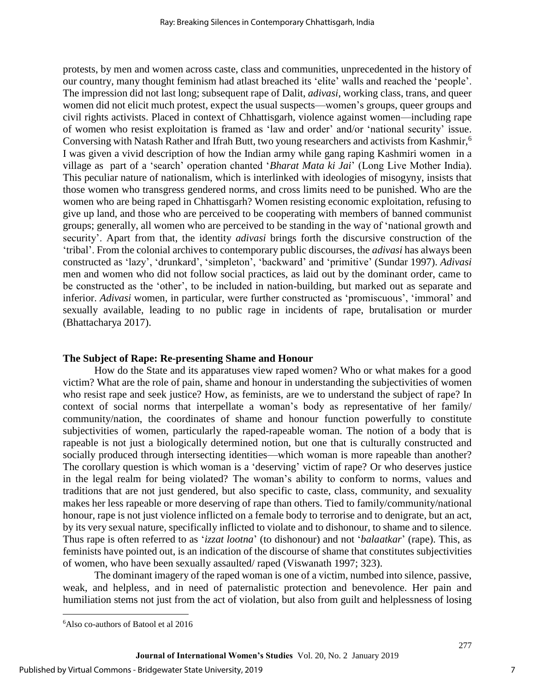protests, by men and women across caste, class and communities, unprecedented in the history of our country, many thought feminism had atlast breached its 'elite' walls and reached the 'people'. The impression did not last long; subsequent rape of Dalit, *adivasi*, working class, trans, and queer women did not elicit much protest, expect the usual suspects—women's groups, queer groups and civil rights activists. Placed in context of Chhattisgarh, violence against women—including rape of women who resist exploitation is framed as 'law and order' and/or 'national security' issue. Conversing with Natash Rather and Ifrah Butt, two young researchers and activists from Kashmir,<sup>6</sup> I was given a vivid description of how the Indian army while gang raping Kashmiri women in a village as part of a 'search' operation chanted '*Bharat Mata ki Jai*' (Long Live Mother India). This peculiar nature of nationalism, which is interlinked with ideologies of misogyny, insists that those women who transgress gendered norms, and cross limits need to be punished. Who are the women who are being raped in Chhattisgarh? Women resisting economic exploitation, refusing to give up land, and those who are perceived to be cooperating with members of banned communist groups; generally, all women who are perceived to be standing in the way of 'national growth and security'. Apart from that, the identity *adivasi* brings forth the discursive construction of the 'tribal'. From the colonial archives to contemporary public discourses, the *adivasi* has always been constructed as 'lazy', 'drunkard', 'simpleton', 'backward' and 'primitive' (Sundar 1997). *Adivasi* men and women who did not follow social practices, as laid out by the dominant order, came to be constructed as the 'other', to be included in nation-building, but marked out as separate and inferior. *Adivasi* women, in particular, were further constructed as 'promiscuous', 'immoral' and sexually available, leading to no public rage in incidents of rape, brutalisation or murder (Bhattacharya 2017).

### **The Subject of Rape: Re-presenting Shame and Honour**

How do the State and its apparatuses view raped women? Who or what makes for a good victim? What are the role of pain, shame and honour in understanding the subjectivities of women who resist rape and seek justice? How, as feminists, are we to understand the subject of rape? In context of social norms that interpellate a woman's body as representative of her family/ community/nation, the coordinates of shame and honour function powerfully to constitute subjectivities of women, particularly the raped-rapeable woman. The notion of a body that is rapeable is not just a biologically determined notion, but one that is culturally constructed and socially produced through intersecting identities—which woman is more rapeable than another? The corollary question is which woman is a 'deserving' victim of rape? Or who deserves justice in the legal realm for being violated? The woman's ability to conform to norms, values and traditions that are not just gendered, but also specific to caste, class, community, and sexuality makes her less rapeable or more deserving of rape than others. Tied to family/community/national honour, rape is not just violence inflicted on a female body to terrorise and to denigrate, but an act, by its very sexual nature, specifically inflicted to violate and to dishonour, to shame and to silence. Thus rape is often referred to as '*izzat lootna*' (to dishonour) and not '*balaatkar*' (rape). This, as feminists have pointed out, is an indication of the discourse of shame that constitutes subjectivities of women, who have been sexually assaulted/ raped (Viswanath 1997; 323).

The dominant imagery of the raped woman is one of a victim, numbed into silence, passive, weak, and helpless, and in need of paternalistic protection and benevolence. Her pain and humiliation stems not just from the act of violation, but also from guilt and helplessness of losing

 $\overline{\phantom{a}}$ 

7

<sup>6</sup>Also co-authors of Batool et al 2016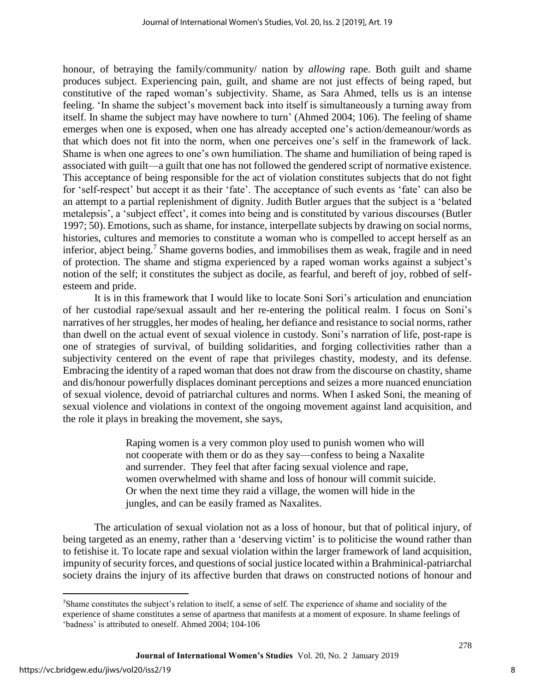honour, of betraying the family/community/ nation by *allowing* rape. Both guilt and shame produces subject. Experiencing pain, guilt, and shame are not just effects of being raped, but constitutive of the raped woman's subjectivity. Shame, as Sara Ahmed, tells us is an intense feeling. 'In shame the subject's movement back into itself is simultaneously a turning away from itself. In shame the subject may have nowhere to turn' (Ahmed 2004; 106). The feeling of shame emerges when one is exposed, when one has already accepted one's action/demeanour/words as that which does not fit into the norm, when one perceives one's self in the framework of lack. Shame is when one agrees to one's own humiliation. The shame and humiliation of being raped is associated with guilt—a guilt that one has not followed the gendered script of normative existence. This acceptance of being responsible for the act of violation constitutes subjects that do not fight for 'self-respect' but accept it as their 'fate'. The acceptance of such events as 'fate' can also be an attempt to a partial replenishment of dignity. Judith Butler argues that the subject is a 'belated metalepsis', a 'subject effect', it comes into being and is constituted by various discourses (Butler 1997; 50). Emotions, such as shame, for instance, interpellate subjects by drawing on social norms, histories, cultures and memories to constitute a woman who is compelled to accept herself as an inferior, abject being.<sup>7</sup> Shame governs bodies, and immobilises them as weak, fragile and in need of protection. The shame and stigma experienced by a raped woman works against a subject's notion of the self; it constitutes the subject as docile, as fearful, and bereft of joy, robbed of selfesteem and pride.

It is in this framework that I would like to locate Soni Sori's articulation and enunciation of her custodial rape/sexual assault and her re-entering the political realm. I focus on Soni's narratives of her struggles, her modes of healing, her defiance and resistance to social norms, rather than dwell on the actual event of sexual violence in custody. Soni's narration of life, post-rape is one of strategies of survival, of building solidarities, and forging collectivities rather than a subjectivity centered on the event of rape that privileges chastity, modesty, and its defense. Embracing the identity of a raped woman that does not draw from the discourse on chastity, shame and dis/honour powerfully displaces dominant perceptions and seizes a more nuanced enunciation of sexual violence, devoid of patriarchal cultures and norms. When I asked Soni, the meaning of sexual violence and violations in context of the ongoing movement against land acquisition, and the role it plays in breaking the movement, she says,

> Raping women is a very common ploy used to punish women who will not cooperate with them or do as they say—confess to being a Naxalite and surrender. They feel that after facing sexual violence and rape, women overwhelmed with shame and loss of honour will commit suicide. Or when the next time they raid a village, the women will hide in the jungles, and can be easily framed as Naxalites.

The articulation of sexual violation not as a loss of honour, but that of political injury, of being targeted as an enemy, rather than a 'deserving victim' is to politicise the wound rather than to fetishise it. To locate rape and sexual violation within the larger framework of land acquisition, impunity of security forces, and questions of social justice located within a Brahminical-patriarchal society drains the injury of its affective burden that draws on constructed notions of honour and

 $\overline{\phantom{a}}$ 

<sup>7</sup>Shame constitutes the subject's relation to itself, a sense of self. The experience of shame and sociality of the experience of shame constitutes a sense of apartness that manifests at a moment of exposure. In shame feelings of 'badness' is attributed to oneself. Ahmed 2004; 104-106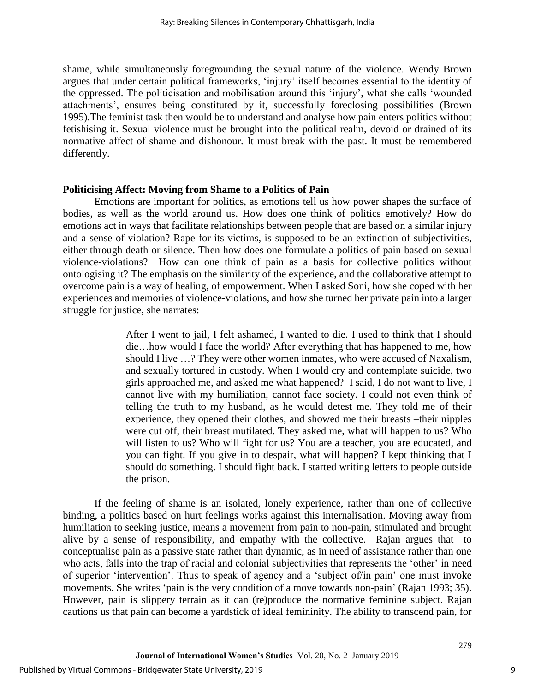shame, while simultaneously foregrounding the sexual nature of the violence. Wendy Brown argues that under certain political frameworks, 'injury' itself becomes essential to the identity of the oppressed. The politicisation and mobilisation around this 'injury', what she calls 'wounded attachments', ensures being constituted by it, successfully foreclosing possibilities (Brown 1995).The feminist task then would be to understand and analyse how pain enters politics without fetishising it. Sexual violence must be brought into the political realm, devoid or drained of its normative affect of shame and dishonour. It must break with the past. It must be remembered differently.

# **Politicising Affect: Moving from Shame to a Politics of Pain**

Emotions are important for politics, as emotions tell us how power shapes the surface of bodies, as well as the world around us. How does one think of politics emotively? How do emotions act in ways that facilitate relationships between people that are based on a similar injury and a sense of violation? Rape for its victims, is supposed to be an extinction of subjectivities, either through death or silence. Then how does one formulate a politics of pain based on sexual violence-violations? How can one think of pain as a basis for collective politics without ontologising it? The emphasis on the similarity of the experience, and the collaborative attempt to overcome pain is a way of healing, of empowerment. When I asked Soni, how she coped with her experiences and memories of violence-violations, and how she turned her private pain into a larger struggle for justice, she narrates:

> After I went to jail, I felt ashamed, I wanted to die. I used to think that I should die…how would I face the world? After everything that has happened to me, how should I live …? They were other women inmates, who were accused of Naxalism, and sexually tortured in custody. When I would cry and contemplate suicide, two girls approached me, and asked me what happened? I said, I do not want to live, I cannot live with my humiliation, cannot face society. I could not even think of telling the truth to my husband, as he would detest me. They told me of their experience, they opened their clothes, and showed me their breasts –their nipples were cut off, their breast mutilated. They asked me, what will happen to us? Who will listen to us? Who will fight for us? You are a teacher, you are educated, and you can fight. If you give in to despair, what will happen? I kept thinking that I should do something. I should fight back. I started writing letters to people outside the prison.

If the feeling of shame is an isolated, lonely experience, rather than one of collective binding, a politics based on hurt feelings works against this internalisation. Moving away from humiliation to seeking justice, means a movement from pain to non-pain, stimulated and brought alive by a sense of responsibility, and empathy with the collective. Rajan argues that to conceptualise pain as a passive state rather than dynamic, as in need of assistance rather than one who acts, falls into the trap of racial and colonial subjectivities that represents the 'other' in need of superior 'intervention'. Thus to speak of agency and a 'subject of/in pain' one must invoke movements. She writes 'pain is the very condition of a move towards non-pain' (Rajan 1993; 35). However, pain is slippery terrain as it can (re)produce the normative feminine subject. Rajan cautions us that pain can become a yardstick of ideal femininity. The ability to transcend pain, for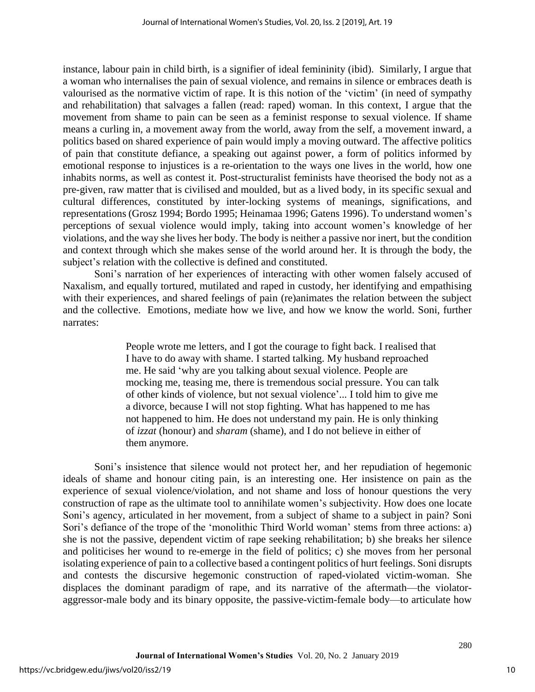instance, labour pain in child birth, is a signifier of ideal femininity (ibid). Similarly, I argue that a woman who internalises the pain of sexual violence, and remains in silence or embraces death is valourised as the normative victim of rape. It is this notion of the 'victim' (in need of sympathy and rehabilitation) that salvages a fallen (read: raped) woman. In this context, I argue that the movement from shame to pain can be seen as a feminist response to sexual violence. If shame means a curling in, a movement away from the world, away from the self, a movement inward, a politics based on shared experience of pain would imply a moving outward. The affective politics of pain that constitute defiance, a speaking out against power, a form of politics informed by emotional response to injustices is a re-orientation to the ways one lives in the world, how one inhabits norms, as well as contest it. Post-structuralist feminists have theorised the body not as a pre-given, raw matter that is civilised and moulded, but as a lived body, in its specific sexual and cultural differences, constituted by inter-locking systems of meanings, significations, and representations (Grosz 1994; Bordo 1995; Heinamaa 1996; Gatens 1996). To understand women's perceptions of sexual violence would imply, taking into account women's knowledge of her violations, and the way she lives her body. The body is neither a passive nor inert, but the condition and context through which she makes sense of the world around her. It is through the body, the subject's relation with the collective is defined and constituted.

Soni's narration of her experiences of interacting with other women falsely accused of Naxalism, and equally tortured, mutilated and raped in custody, her identifying and empathising with their experiences, and shared feelings of pain (re)animates the relation between the subject and the collective. Emotions, mediate how we live, and how we know the world. Soni, further narrates:

> People wrote me letters, and I got the courage to fight back. I realised that I have to do away with shame. I started talking. My husband reproached me. He said 'why are you talking about sexual violence. People are mocking me, teasing me, there is tremendous social pressure. You can talk of other kinds of violence, but not sexual violence'... I told him to give me a divorce, because I will not stop fighting. What has happened to me has not happened to him. He does not understand my pain. He is only thinking of *izzat* (honour) and *sharam* (shame), and I do not believe in either of them anymore.

Soni's insistence that silence would not protect her, and her repudiation of hegemonic ideals of shame and honour citing pain, is an interesting one. Her insistence on pain as the experience of sexual violence/violation, and not shame and loss of honour questions the very construction of rape as the ultimate tool to annihilate women's subjectivity. How does one locate Soni's agency, articulated in her movement, from a subject of shame to a subject in pain? Soni Sori's defiance of the trope of the 'monolithic Third World woman' stems from three actions: a) she is not the passive, dependent victim of rape seeking rehabilitation; b) she breaks her silence and politicises her wound to re-emerge in the field of politics; c) she moves from her personal isolating experience of pain to a collective based a contingent politics of hurt feelings. Soni disrupts and contests the discursive hegemonic construction of raped-violated victim-woman. She displaces the dominant paradigm of rape, and its narrative of the aftermath—the violatoraggressor-male body and its binary opposite, the passive-victim-female body—to articulate how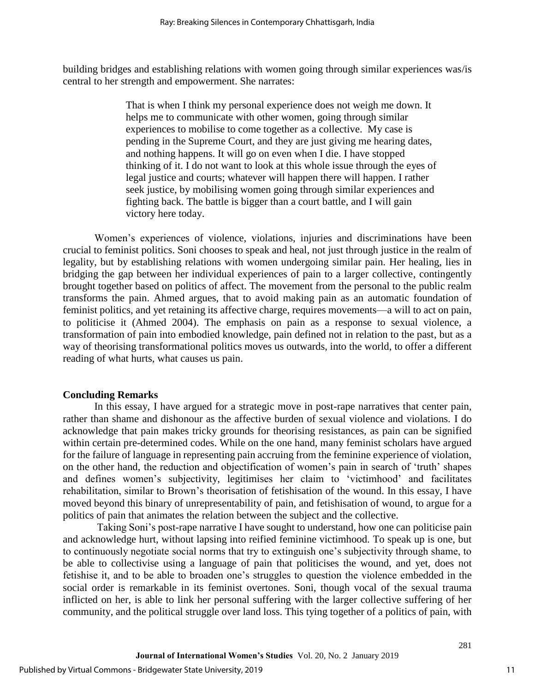building bridges and establishing relations with women going through similar experiences was/is central to her strength and empowerment. She narrates:

> That is when I think my personal experience does not weigh me down. It helps me to communicate with other women, going through similar experiences to mobilise to come together as a collective. My case is pending in the Supreme Court, and they are just giving me hearing dates, and nothing happens. It will go on even when I die. I have stopped thinking of it. I do not want to look at this whole issue through the eyes of legal justice and courts; whatever will happen there will happen. I rather seek justice, by mobilising women going through similar experiences and fighting back. The battle is bigger than a court battle, and I will gain victory here today.

Women's experiences of violence, violations, injuries and discriminations have been crucial to feminist politics. Soni chooses to speak and heal, not just through justice in the realm of legality, but by establishing relations with women undergoing similar pain. Her healing, lies in bridging the gap between her individual experiences of pain to a larger collective, contingently brought together based on politics of affect. The movement from the personal to the public realm transforms the pain. Ahmed argues, that to avoid making pain as an automatic foundation of feminist politics, and yet retaining its affective charge, requires movements—a will to act on pain, to politicise it (Ahmed 2004). The emphasis on pain as a response to sexual violence, a transformation of pain into embodied knowledge, pain defined not in relation to the past, but as a way of theorising transformational politics moves us outwards, into the world, to offer a different reading of what hurts, what causes us pain.

# **Concluding Remarks**

In this essay, I have argued for a strategic move in post-rape narratives that center pain, rather than shame and dishonour as the affective burden of sexual violence and violations. I do acknowledge that pain makes tricky grounds for theorising resistances, as pain can be signified within certain pre-determined codes. While on the one hand, many feminist scholars have argued for the failure of language in representing pain accruing from the feminine experience of violation, on the other hand, the reduction and objectification of women's pain in search of 'truth' shapes and defines women's subjectivity, legitimises her claim to 'victimhood' and facilitates rehabilitation, similar to Brown's theorisation of fetishisation of the wound. In this essay, I have moved beyond this binary of unrepresentability of pain, and fetishisation of wound, to argue for a politics of pain that animates the relation between the subject and the collective.

Taking Soni's post-rape narrative I have sought to understand, how one can politicise pain and acknowledge hurt, without lapsing into reified feminine victimhood. To speak up is one, but to continuously negotiate social norms that try to extinguish one's subjectivity through shame, to be able to collectivise using a language of pain that politicises the wound, and yet, does not fetishise it, and to be able to broaden one's struggles to question the violence embedded in the social order is remarkable in its feminist overtones. Soni, though vocal of the sexual trauma inflicted on her, is able to link her personal suffering with the larger collective suffering of her community, and the political struggle over land loss. This tying together of a politics of pain, with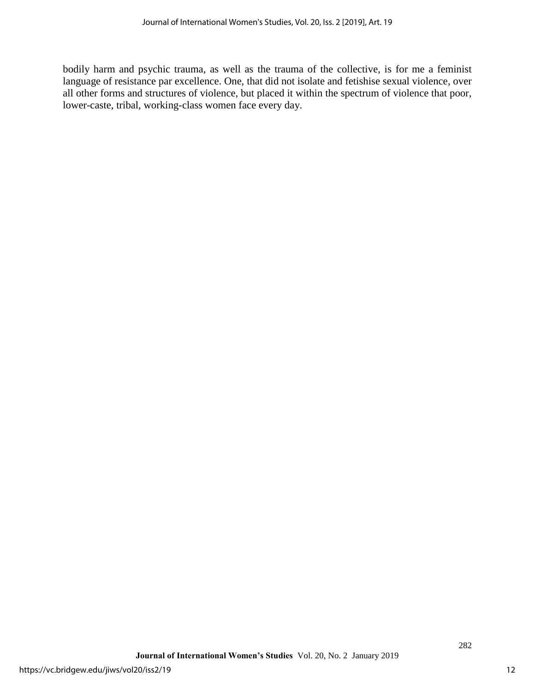bodily harm and psychic trauma, as well as the trauma of the collective, is for me a feminist language of resistance par excellence. One, that did not isolate and fetishise sexual violence, over all other forms and structures of violence, but placed it within the spectrum of violence that poor, lower-caste, tribal, working-class women face every day.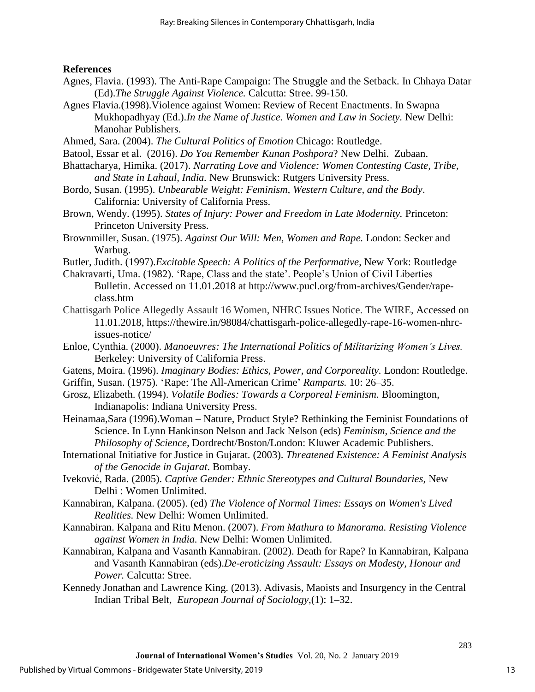## **References**

- Agnes, Flavia. (1993). The Anti-Rape Campaign: The Struggle and the Setback. In Chhaya Datar (Ed).*The Struggle Against Violence.* Calcutta: Stree. 99-150.
- Agnes Flavia.(1998).Violence against Women: Review of Recent Enactments. In Swapna Mukhopadhyay (Ed.).*In the Name of Justice. Women and Law in Society.* New Delhi: Manohar Publishers.
- Ahmed, Sara. (2004). *The Cultural Politics of Emotion* Chicago: Routledge.
- Batool, Essar et al. (2016). *Do You Remember Kunan Poshpora*? New Delhi. Zubaan.
- Bhattacharya, Himika. (2017). *Narrating Love and Violence: Women Contesting Caste, Tribe, and State in Lahaul, India.* New Brunswick: Rutgers University Press.
- Bordo, Susan. (1995). *Unbearable Weight: Feminism, Western Culture, and the Body*. California: University of California Press.
- Brown, Wendy. (1995). *States of Injury: Power and Freedom in Late Modernity.* Princeton: Princeton University Press.
- Brownmiller, Susan. (1975). *Against Our Will: Men, Women and Rape.* London: Secker and Warbug.
- Butler, Judith. (1997).*Excitable Speech: A Politics of the Performative*, New York: Routledge
- Chakravarti, Uma. (1982). 'Rape, Class and the state'. People's Union of Civil Liberties Bulletin. Accessed on 11.01.2018 at http://www.pucl.org/from-archives/Gender/rapeclass.htm
- Chattisgarh Police Allegedly Assault 16 Women, NHRC Issues Notice. The WIRE, Accessed on 11.01.2018, https://thewire.in/98084/chattisgarh-police-allegedly-rape-16-women-nhrcissues-notice/
- Enloe, Cynthia. (2000). *Manoeuvres: The International Politics of Militarizing Women's Lives.* Berkeley: University of California Press.
- Gatens, Moira. (1996). *Imaginary Bodies: Ethics, Power, and Corporeality.* London: Routledge.
- Griffin, Susan. (1975). 'Rape: The All-American Crime' *Ramparts.* 10: 26–35.
- Grosz, Elizabeth. (1994). *Volatile Bodies: Towards a Corporeal Feminism.* Bloomington, Indianapolis: Indiana University Press.
- Heinamaa,Sara (1996).Woman Nature, Product Style? Rethinking the Feminist Foundations of Science. In Lynn Hankinson Nelson and Jack Nelson (eds) *Feminism, Science and the Philosophy of Science,* Dordrecht/Boston/London: Kluwer Academic Publishers.
- International Initiative for Justice in Gujarat. (2003). *Threatened Existence: A Feminist Analysis of the Genocide in Gujarat*. Bombay.
- Iveković , Rada. (2005). *Captive Gender: Ethnic Stereotypes and Cultural Boundaries,* New Delhi : Women Unlimited.
- Kannabiran, Kalpana. (2005). (ed) *The Violence of Normal Times: Essays on Women's Lived Realities.* New Delhi: Women Unlimited.
- Kannabiran. Kalpana and Ritu Menon. (2007). *From Mathura to Manorama. Resisting Violence against Women in India.* New Delhi: Women Unlimited.
- Kannabiran, Kalpana and Vasanth Kannabiran. (2002). Death for Rape? In Kannabiran, Kalpana and Vasanth Kannabiran (eds).*De-eroticizing Assault: Essays on Modesty, Honour and Power.* Calcutta: Stree.
- Kennedy Jonathan and Lawrence King. (2013). Adivasis, Maoists and Insurgency in the Central Indian Tribal Belt, *European Journal of Sociology*,(1): 1–32.